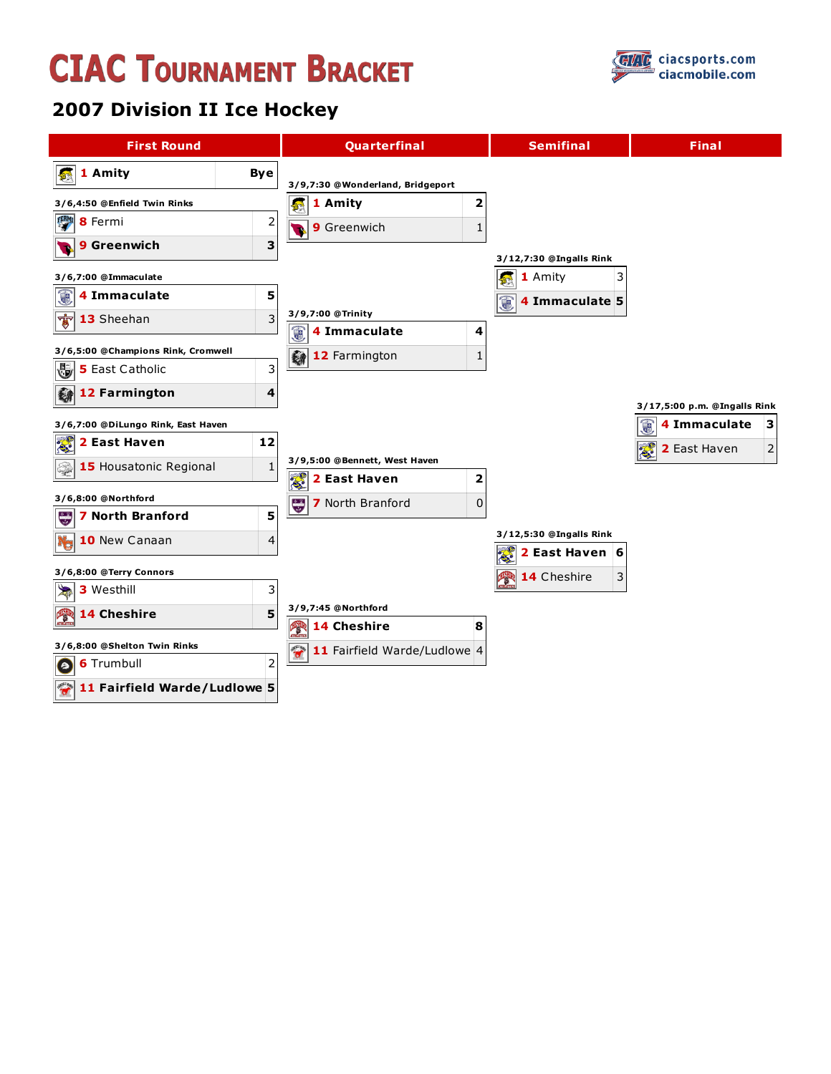## **CIAC TOURNAMENT BRACKET**



## **2007 Division II Ice Hockey**